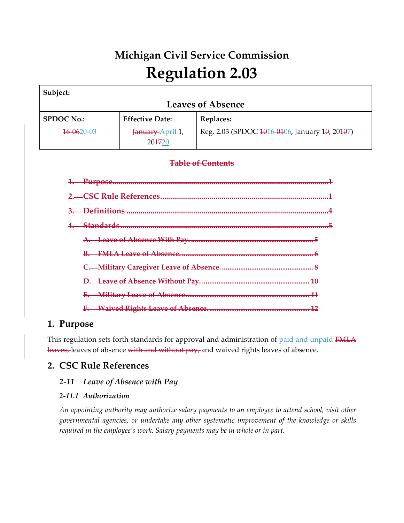# **Michigan Civil Service Commission Regulation 2.03**

| Subject:                 |                            |                                                |
|--------------------------|----------------------------|------------------------------------------------|
| <b>Leaves of Absence</b> |                            |                                                |
| <b>SPDOC No.:</b>        | <b>Effective Date:</b>     | Replaces:                                      |
| 16-0620-03               | January April 1,<br>204720 | Reg. 2.03 (SPDOC 1016-0106, January 10, 20107) |
| <b>Table of Contents</b> |                            |                                                |
| Purpose                  |                            |                                                |
|                          |                            |                                                |
|                          |                            |                                                |
|                          |                            |                                                |
|                          |                            |                                                |
|                          |                            |                                                |
|                          |                            |                                                |
|                          |                            |                                                |
|                          |                            |                                                |
|                          |                            |                                                |

# **1. Purpose**

This regulation sets forth standards for approval and administration of paid and unpaid FMLA leaves, leaves of absence with and without pay, and waived rights leaves of absence.

# **2. CSC Rule References**

# *2‐11 Leave of Absence with Pay*

# *2‐11.1 Authorization*

*An appointing authority may authorize salary payments to an employee to attend school, visit other governmental agencies, or undertake any other systematic improvement of the knowledge or skills required in the employee's work. Salary payments may be in whole or in part.*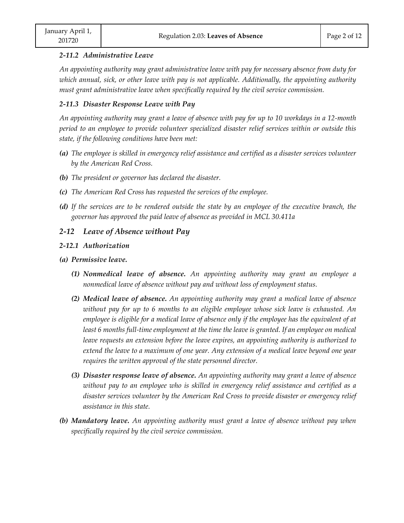#### *2‐11.2 Administrative Leave*

*An appointing authority may grant administrative leave with pay for necessary absence from duty for which annual, sick, or other leave with pay is not applicable. Additionally, the appointing authority must grant administrative leave when specifically required by the civil service commission.*

## *2‐11.3 Disaster Response Leave with Pay*

An appointing authority may grant a leave of absence with pay for up to 10 workdays in a 12-month *period to an employee to provide volunteer specialized disaster relief services within or outside this state, if the following conditions have been met:*

- *(a) The employee is skilled in emergency relief assistance and certified as a disaster services volunteer by the American Red Cross.*
- *(b) The president or governor has declared the disaster.*
- *(c) The American Red Cross has requested the services of the employee.*
- (d) If the services are to be rendered outside the state by an employee of the executive branch, the *governor has approved the paid leave of absence as provided in MCL 30.411a*

# *2‐12 Leave of Absence without Pay*

### *2‐12.1 Authorization*

- *(a) Permissive leave.*
	- *(1) Nonmedical leave of absence. An appointing authority may grant an employee a nonmedical leave of absence without pay and without loss of employment status.*
	- *(2) Medical leave of absence. An appointing authority may grant a medical leave of absence without pay for up to 6 months to an eligible employee whose sick leave is exhausted. An employee is eligible for a medical leave of absence only if the employee has the equivalent of at* least 6 months full-time employment at the time the leave is granted. If an employee on medical *leave requests an extension before the leave expires, an appointing authority is authorized to extend the leave to a maximum of one year. Any extension of a medical leave beyond one year requires the written approval of the state personnel director.*
	- *(3) Disaster response leave of absence. An appointing authority may grant a leave of absence without pay to an employee who is skilled in emergency relief assistance and certified as a disaster services volunteer by the American Red Cross to provide disaster or emergency relief assistance in this state.*
- *(b) Mandatory leave. An appointing authority must grant a leave of absence without pay when specifically required by the civil service commission.*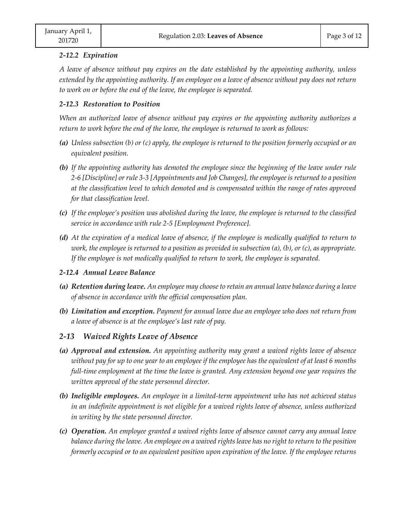### *2‐12.2 Expiration*

*A leave of absence without pay expires on the date established by the appointing authority, unless* extended by the appointing authority. If an employee on a leave of absence without pay does not return *to work on or before the end of the leave, the employee is separated.* 

## *2‐12.3 Restoration to Position*

*When an authorized leave of absence without pay expires or the appointing authority authorizes a return to work before the end of the leave, the employee is returned to work as follows:*

- (a) Unless subsection (b) or (c) apply, the employee is returned to the position formerly occupied or an *equivalent position.*
- *(b) If the appointing authority has demoted the employee since the beginning of the leave under rule* 2-6 [Discipline] or rule 3-3 [Appointments and Job Changes], the employee is returned to a position *at the classification level to which demoted and is compensated within the range of rates approved for that classification level.*
- *(c) If the employee's position was abolished during the leave, the employee is returned to the classified service in accordance with rule 2‐5 [Employment Preference].*
- (d) At the expiration of a medical leave of absence, if the employee is medically qualified to return to work, the employee is returned to a position as provided in subsection  $(a)$ ,  $(b)$ , or  $(c)$ , as appropriate. *If the employee is not medically qualified to return to work, the employee is separated.*

## *2‐12.4 Annual Leave Balance*

- *(a) Retention during leave. An employee may choose to retain an annual leave balance during a leave of absence in accordance with the official compensation plan.*
- *(b) Limitation and exception. Payment for annual leave due an employee who does not return from a leave of absence is at the employee's last rate of pay.*

## *2‐13 Waived Rights Leave of Absence*

- *(a) Approval and extension. An appointing authority may grant a waived rights leave of absence* without pay for up to one year to an employee if the employee has the equivalent of at least 6 months *full‐time employment at the time the leave is granted. Any extension beyond one year requires the written approval of the state personnel director.*
- *(b) Ineligible employees. An employee in a limited‐term appointment who has not achieved status in an indefinite appointment is not eligible for a waived rights leave of absence, unless authorized in writing by the state personnel director.*
- *(c) Operation. An employee granted a waived rights leave of absence cannot carry any annual leave* balance during the leave. An employee on a waived rights leave has no right to return to the position *formerly occupied or to an equivalent position upon expiration of the leave. If the employee returns*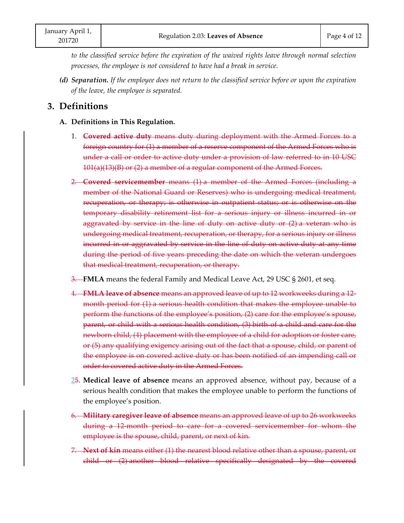*to the classified service before the expiration of the waived rights leave through normal selection processes, the employee is not considered to have had a break in service.*

*(d) Separation. If the employee does not return to the classified service before or upon the expiration of the leave, the employee is separated.*

# **3. Definitions**

- **A. Definitions in This Regulation.**
	- 1. **Covered active duty** means duty during deployment with the Armed Forces to a foreign country for (1) a member of a reserve component of the Armed Forces who is under a call or order to active duty under a provision of law referred to in 10 USC 101(a)(13)(B) or (2) a member of a regular component of the Armed Forces.
	- 2. **Covered servicemember** means (1) a member of the Armed Forces (including a member of the National Guard or Reserves) who is undergoing medical treatment, recuperation, or therapy; is otherwise in outpatient status; or is otherwise on the temporary disability retirement list for a serious injury or illness incurred in or aggravated by service in the line of duty on active duty or (2) a veteran who is undergoing medical treatment, recuperation, or therapy, for a serious injury or illness incurred in or aggravated by service in the line of duty on active duty at any time during the period of five years preceding the date on which the veteran undergoes that medical treatment, recuperation, or therapy.
	- 3. FMLA means the federal Family and Medical Leave Act, 29 USC § 2601, et seq.
	- 4. **FMLA leave of absence** means an approved leave of up to 12 workweeks during a 12‐ month period for (1) a serious health condition that makes the employee unable to perform the functions of the employee's position, (2) care for the employee's spouse, parent, or child with a serious health condition, (3) birth of a child and care for the newborn child, (4) placement with the employee of a child for adoption or foster care, or (5) any qualifying exigency arising out of the fact that a spouse, child, or parent of the employee is on covered active duty or has been notified of an impending call or order to covered active duty in the Armed Forces.
	- 25. **Medical leave of absence** means an approved absence, without pay, because of a serious health condition that makes the employee unable to perform the functions of the employee's position.
	- 6. **Military caregiver leave of absence** means an approved leave of up to 26 workweeks during a 12‐month period to care for a covered servicemember for whom the employee is the spouse, child, parent, or next of kin.
	- 7. **Next of kin** means either (1) the nearest blood relative other than a spouse, parent, or child or (2) another blood relative specifically designated by the covered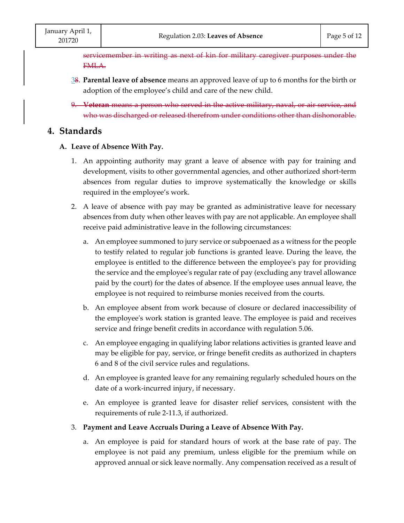servicemember in writing as next of kin for military caregiver purposes under the FMLA.

- 38. **Parental leave of absence** means an approved leave of up to 6 months for the birth or adoption of the employee's child and care of the new child.
- 9. **Veteran** means a person who served in the active military, naval, or air service, and who was discharged or released therefrom under conditions other than dishonorable.

# **4. Standards**

- **A. Leave of Absence With Pay.**
	- 1. An appointing authority may grant a leave of absence with pay for training and development, visits to other governmental agencies, and other authorized short-term absences from regular duties to improve systematically the knowledge or skills required in the employee's work.
	- 2. A leave of absence with pay may be granted as administrative leave for necessary absences from duty when other leaves with pay are not applicable. An employee shall receive paid administrative leave in the following circumstances:
		- a. An employee summoned to jury service or subpoenaed as a witness for the people to testify related to regular job functions is granted leave. During the leave, the employee is entitled to the difference between the employee's pay for providing the service and the employeeʹs regular rate of pay (excluding any travel allowance paid by the court) for the dates of absence. If the employee uses annual leave, the employee is not required to reimburse monies received from the courts.
		- b. An employee absent from work because of closure or declared inaccessibility of the employeeʹs work station is granted leave. The employee is paid and receives service and fringe benefit credits in accordance with regulation 5.06.
		- c. An employee engaging in qualifying labor relations activities is granted leave and may be eligible for pay, service, or fringe benefit credits as authorized in chapters 6 and 8 of the civil service rules and regulations.
		- d. An employee is granted leave for any remaining regularly scheduled hours on the date of a work‐incurred injury, if necessary.
		- e. An employee is granted leave for disaster relief services, consistent with the requirements of rule 2‐11.3, if authorized.
	- 3. **Payment and Leave Accruals During a Leave of Absence With Pay.**
		- a. An employee is paid for standard hours of work at the base rate of pay. The employee is not paid any premium, unless eligible for the premium while on approved annual or sick leave normally. Any compensation received as a result of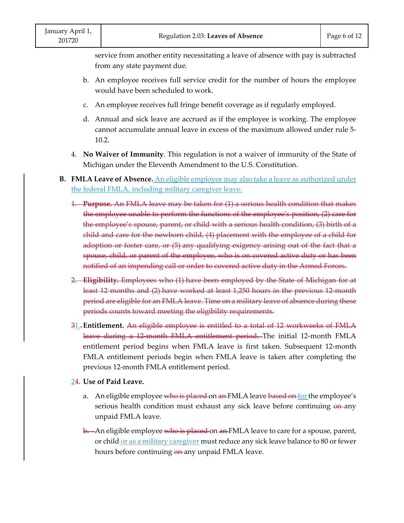service from another entity necessitating a leave of absence with pay is subtracted from any state payment due.

- b. An employee receives full service credit for the number of hours the employee would have been scheduled to work.
- c. An employee receives full fringe benefit coverage as if regularly employed.
- d. Annual and sick leave are accrued as if the employee is working. The employee cannot accumulate annual leave in excess of the maximum allowed under rule 5‐ 10.2.
- 4. **No Waiver of Immunity**. This regulation is not a waiver of immunity of the State of Michigan under the Eleventh Amendment to the U.S. Constitution.
- **B. FMLA Leave of Absence.** An eligible employee may also take a leave as authorized under the federal FMLA, including military caregiver leave.
	- 1. **Purpose.** An FMLA leave may be taken for (1) a serious health condition that makes the employee unable to perform the functions of the employee's position, (2) care for the employee's spouse, parent, or child with a serious health condition, (3) birth of a child and care for the newborn child, (4) placement with the employee of a child for adoption or foster care, or (5) any qualifying exigency arising out of the fact that a spouse, child, or parent of the employee, who is on covered active duty or has been notified of an impending call or order to covered active duty in the Armed Forces.
	- 2. **Eligibility.** Employees who (1) have been employed by the State of Michigan for at least 12 months and (2) have worked at least 1,250 hours in the previous 12‐month period are eligible for an FMLA leave. Time on a military leave of absence during these periods counts toward meeting the eligibility requirements.
	- 31..**Entitlement.** An eligible employee is entitled to a total of 12 workweeks of FMLA leave during a 12 month FMLA entitlement period. The initial 12-month FMLA entitlement period begins when FMLA leave is first taken. Subsequent 12‐month FMLA entitlement periods begin when FMLA leave is taken after completing the previous 12‐month FMLA entitlement period.
	- 24. **Use of Paid Leave.**
		- a. An eligible employee who is placed on an FMLA leave based on for the employee's serious health condition must exhaust any sick leave before continuing on any unpaid FMLA leave.
		- b. An eligible employee who is placed on an FMLA leave to care for a spouse, parent, or child or as a military caregiver must reduce any sick leave balance to 80 or fewer hours before continuing on any unpaid FMLA leave.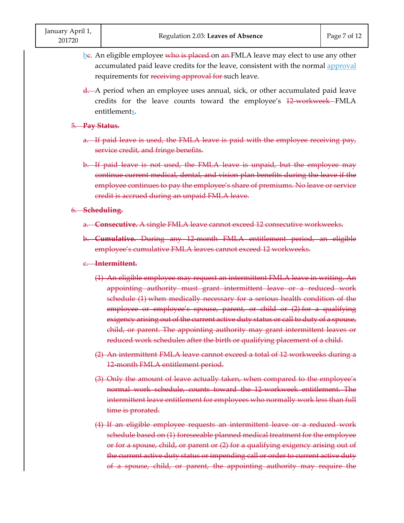- be. An eligible employee who is placed on an FMLA leave may elect to use any other accumulated paid leave credits for the leave, consistent with the normal approval requirements for receiving approval for such leave.
- d. A period when an employee uses annual, sick, or other accumulated paid leave credits for the leave counts toward the employee's 12 workweek FMLA entitlements.

#### 5. **Pay Status.**

- a. If paid leave is used, the FMLA leave is paid with the employee receiving pay, service credit, and fringe benefits.
- b. If paid leave is not used, the FMLA leave is unpaid, but the employee may continue current medical, dental, and vision plan benefits during the leave if the employee continues to pay the employee's share of premiums. No leave or service credit is accrued during an unpaid FMLA leave.

### 6. **Scheduling.**

- a. **Consecutive.** A single FMLA leave cannot exceed 12 consecutive workweeks.
- b. **Cumulative.** During any 12‐month FMLA entitlement period, an eligible employee's cumulative FMLA leaves cannot exceed 12 workweeks.

#### c. **Intermittent.**

- (1) An eligible employee may request an intermittent FMLA leave in writing. An appointing authority must grant intermittent leave or a reduced work schedule (1) when medically necessary for a serious health condition of the employee or employee's spouse, parent, or child or (2) for a qualifying exigency arising out of the current active duty status or call to duty of a spouse, child, or parent. The appointing authority may grant intermittent leaves or reduced work schedules after the birth or qualifying placement of a child.
- (2) An intermittent FMLA leave cannot exceed a total of 12 workweeks during a 12 month FMLA entitlement period.
- (3) Only the amount of leave actually taken, when compared to the employee's normal work schedule, counts toward the 12‐workweek entitlement. The intermittent leave entitlement for employees who normally work less than full time is prorated.
- (4) If an eligible employee requests an intermittent leave or a reduced work schedule based on (1) foreseeable planned medical treatment for the employee or for a spouse, child, or parent or (2) for a qualifying exigency arising out of the current active duty status or impending call or order to current active duty of a spouse, child, or parent, the appointing authority may require the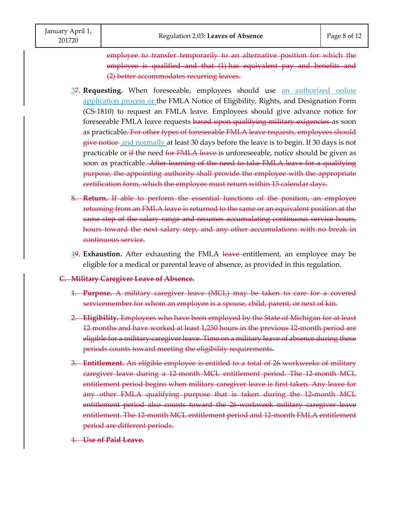employee to transfer temporarily to an alternative position for which the employee is qualified and that (1) has equivalent pay and benefits and (2) better accommodates recurring leaves.

- 37. **Requesting.** When foreseeable, employees should use an authorized online application process or the FMLA Notice of Eligibility, Rights, and Designation Form (CS‐1810) to request an FMLA leave. Employees should give advance notice for foreseeable FMLA leave requests based upon qualifying military exigencies as soon as practicable. For other types of foreseeable FMLA leave requests, employees should give notice and normally at least 30 days before the leave is to begin. If 30 days is not practicable or if the need for FMLA leave is unforeseeable, notice should be given as soon as practicable. After learning of the need to take FMLA leave for a qualifying purpose, the appointing authority shall provide the employee with the appropriate certification form, which the employee must return within 15 calendar days.
- 8. **Return.** If able to perform the essential functions of the position, an employee returning from an FMLA leave is returned to the same or an equivalent position at the same step of the salary range and resumes accumulating continuous service hours, hours toward the next salary step, and any other accumulations with no break in continuous service.
- 49. **Exhaustion.** After exhausting the FMLA leave entitlement, an employee may be eligible for a medical or parental leave of absence, as provided in this regulation.
- **C. Military Caregiver Leave of Absence.**
	- 1. **Purpose.** A military caregiver leave (MCL) may be taken to care for a covered servicemember for whom an employee is a spouse, child, parent, or next of kin.
	- 2. **Eligibility.** Employees who have been employed by the State of Michigan for at least 12 months and have worked at least 1,250 hours in the previous 12 month period are eligible for a military caregiver leave. Time on a military leave of absence during these periods counts toward meeting the eligibility requirements.
	- 3. **Entitlement.** An eligible employee is entitled to a total of 26 workweeks of military caregiver leave during a 12‐month MCL entitlement period. The 12‐month MCL entitlement period begins when military caregiver leave is first taken. Any leave for any other FMLA qualifying purpose that is taken during the 12 month MCL entitlement period also counts toward the 26 workweek military caregiver leave entitlement. The 12 month MCL entitlement period and 12 month FMLA entitlement period are different periods.
	- 4. **Use of Paid Leave.**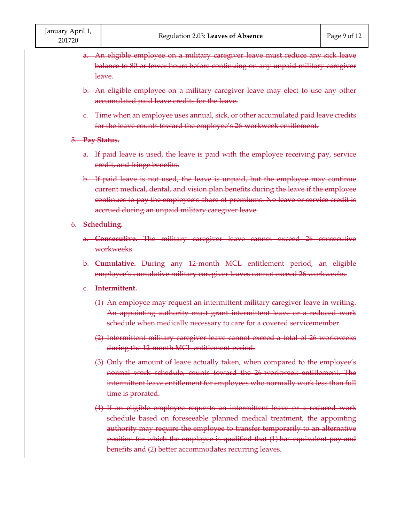- a. An eligible employee on a military caregiver leave must reduce any sick leave balance to 80 or fewer hours before continuing on any unpaid military caregiver leave.
- b. An eligible employee on a military caregiver leave may elect to use any other accumulated paid leave credits for the leave.
- c. Time when an employee uses annual, sick, or other accumulated paid leave credits for the leave counts toward the employee's 26 workweek entitlement.

#### 5. **Pay Status.**

- a. If paid leave is used, the leave is paid with the employee receiving pay, service credit, and fringe benefits.
- b. If paid leave is not used, the leave is unpaid, but the employee may continue current medical, dental, and vision plan benefits during the leave if the employee continues to pay the employee's share of premiums. No leave or service credit is accrued during an unpaid military caregiver leave.

#### 6. **Scheduling.**

- a. **Consecutive.** The military caregiver leave cannot exceed 26 consecutive workweeks.
- b. **Cumulative.** During any 12‐month MCL entitlement period, an eligible employee's cumulative military caregiver leaves cannot exceed 26 workweeks.

#### c. **Intermittent.**

- (1) An employee may request an intermittent military caregiver leave in writing. An appointing authority must grant intermittent leave or a reduced work schedule when medically necessary to care for a covered servicemember.
- (2) Intermittent military caregiver leave cannot exceed a total of 26 workweeks during the 12 month MCL entitlement period.
- (3) Only the amount of leave actually taken, when compared to the employee's normal work schedule, counts toward the 26 workweek entitlement. The intermittent leave entitlement for employees who normally work less than full time is prorated.
- (4) If an eligible employee requests an intermittent leave or a reduced work schedule based on foreseeable planned medical treatment, the appointing authority may require the employee to transfer temporarily to an alternative position for which the employee is qualified that (1) has equivalent pay and benefits and (2) better accommodates recurring leaves.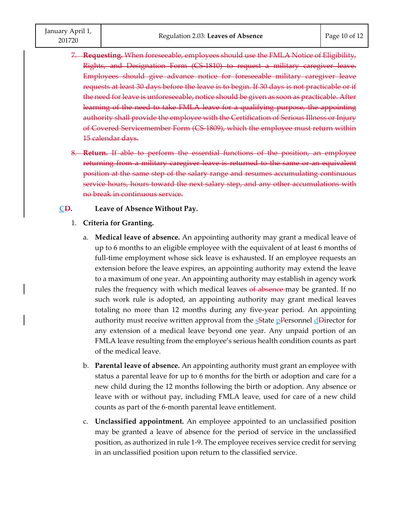7. **Requesting.** When foreseeable, employees should use the FMLA Notice of Eligibility, Rights, and Designation Form (CS 1810) to request a military caregiver leave. Employees should give advance notice for foreseeable military caregiver leave requests at least 30 days before the leave is to begin. If 30 days is not practicable or if the need for leave is unforeseeable, notice should be given as soon as practicable. After learning of the need to take FMLA leave for a qualifying purpose, the appointing authority shall provide the employee with the Certification of Serious Illness or Injury of Covered Servicemember Form (CS‐1809), which the employee must return within 15 calendar days.

8. **Return.** If able to perform the essential functions of the position, an employee returning from a military caregiver leave is returned to the same or an equivalent position at the same step of the salary range and resumes accumulating continuous service hours, hours toward the next salary step, and any other accumulations with no break in continuous service.

### **CD. Leave of Absence Without Pay.**

- 1. **Criteria for Granting.**
	- a. **Medical leave of absence.** An appointing authority may grant a medical leave of up to 6 months to an eligible employee with the equivalent of at least 6 months of full-time employment whose sick leave is exhausted. If an employee requests an extension before the leave expires, an appointing authority may extend the leave to a maximum of one year. An appointing authority may establish in agency work rules the frequency with which medical leaves of absence may be granted. If no such work rule is adopted, an appointing authority may grant medical leaves totaling no more than 12 months during any five‐year period. An appointing authority must receive written approval from the  $s$ State pPersonnel dDirector for any extension of a medical leave beyond one year. Any unpaid portion of an FMLA leave resulting from the employee's serious health condition counts as part of the medical leave.
	- b. **Parental leave of absence.** An appointing authority must grant an employee with status a parental leave for up to 6 months for the birth or adoption and care for a new child during the 12 months following the birth or adoption. Any absence or leave with or without pay, including FMLA leave, used for care of a new child counts as part of the 6‐month parental leave entitlement.
	- c. **Unclassified appointment.** An employee appointed to an unclassified position may be granted a leave of absence for the period of service in the unclassified position, as authorized in rule 1‐9. The employee receives service credit for serving in an unclassified position upon return to the classified service.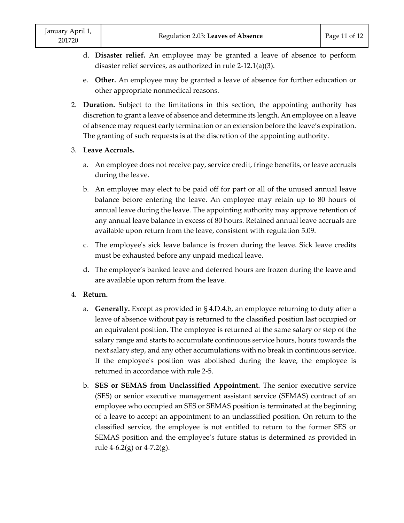- d. **Disaster relief.** An employee may be granted a leave of absence to perform disaster relief services, as authorized in rule 2‐12.1(a)(3).
- e. **Other.** An employee may be granted a leave of absence for further education or other appropriate nonmedical reasons.
- 2. **Duration.** Subject to the limitations in this section, the appointing authority has discretion to grant a leave of absence and determine its length. An employee on a leave of absence may request early termination or an extension before the leave's expiration. The granting of such requests is at the discretion of the appointing authority.

# 3. **Leave Accruals.**

- a. An employee does not receive pay, service credit, fringe benefits, or leave accruals during the leave.
- b. An employee may elect to be paid off for part or all of the unused annual leave balance before entering the leave. An employee may retain up to 80 hours of annual leave during the leave. The appointing authority may approve retention of any annual leave balance in excess of 80 hours. Retained annual leave accruals are available upon return from the leave, consistent with regulation 5.09.
- c. The employeeʹs sick leave balance is frozen during the leave. Sick leave credits must be exhausted before any unpaid medical leave.
- d. The employee's banked leave and deferred hours are frozen during the leave and are available upon return from the leave.

## 4. **Return.**

- a. **Generally.** Except as provided in § 4.D.4.b, an employee returning to duty after a leave of absence without pay is returned to the classified position last occupied or an equivalent position. The employee is returned at the same salary or step of the salary range and starts to accumulate continuous service hours, hours towards the next salary step, and any other accumulations with no break in continuous service. If the employeeʹs position was abolished during the leave, the employee is returned in accordance with rule 2‐5.
- b. **SES or SEMAS from Unclassified Appointment.** The senior executive service (SES) or senior executive management assistant service (SEMAS) contract of an employee who occupied an SES or SEMAS position is terminated at the beginning of a leave to accept an appointment to an unclassified position. On return to the classified service, the employee is not entitled to return to the former SES or SEMAS position and the employee's future status is determined as provided in rule  $4-6.2(g)$  or  $4-7.2(g)$ .